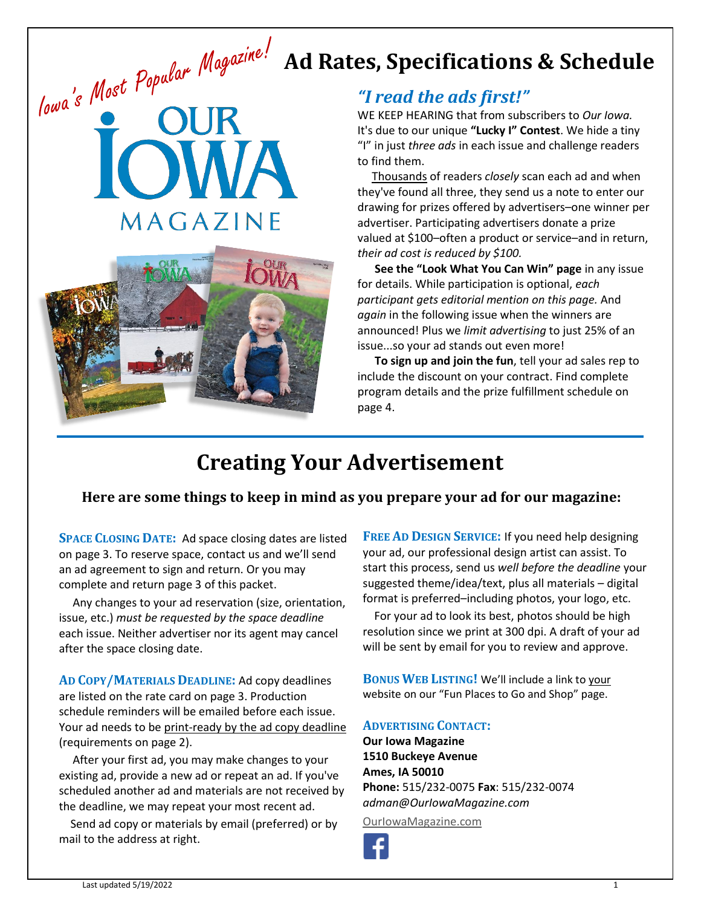## **Ad Rates, Specifications & Schedule**





### *"I read the ads first!"*

WE KEEP HEARING that from subscribers to *Our Iowa.* It's due to our unique **"Lucky I" Contest**. We hide a tiny "I" in just *three ads* in each issue and challenge readers to find them.

 Thousands of readers *closely* scan each ad and when they've found all three, they send us a note to enter our drawing for prizes offered by advertisers–one winner per advertiser. Participating advertisers donate a prize valued at \$100–often a product or service–and in return, *their ad cost is reduced by \$100.*

 **See the "Look What You Can Win" page** in any issue for details. While participation is optional, *each participant gets editorial mention on this page.* And *again* in the following issue when the winners are announced! Plus we *limit advertising* to just 25% of an issue...so your ad stands out even more!

 **To sign up and join the fun**, tell your ad sales rep to include the discount on your contract. Find complete program details and the prize fulfillment schedule on page 4.

## **Creating Your Advertisement**

### **Here are some things to keep in mind as you prepare your ad for our magazine:**

**SPACE CLOSING DATE:** Ad space closing dates are listed on page 3. To reserve space, contact us and we'll send an ad agreement to sign and return. Or you may complete and return page 3 of this packet.

 Any changes to your ad reservation (size, orientation, issue, etc.) *must be requested by the space deadline*  each issue. Neither advertiser nor its agent may cancel after the space closing date.

**AD COPY/MATERIALS DEADLINE:** Ad copy deadlines are listed on the rate card on page 3. Production schedule reminders will be emailed before each issue. Your ad needs to be print-ready by the ad copy deadline (requirements on page 2).

 After your first ad, you may make changes to your existing ad, provide a new ad or repeat an ad. If you've scheduled another ad and materials are not received by the deadline, we may repeat your most recent ad.

 Send ad copy or materials by email (preferred) or by mail to the address at right.

**FREE AD DESIGN SERVICE:** If you need help designing your ad, our professional design artist can assist. To start this process, send us *well before the deadline* your suggested theme/idea/text, plus all materials – digital format is preferred–including photos, your logo, etc.

 For your ad to look its best, photos should be high resolution since we print at 300 dpi. A draft of your ad will be sent by email for you to review and approve.

**BONUS WEB LISTING!** We'll include a link to your website on our "Fun Places to Go and Shop" page.

### **ADVERTISING CONTACT:**

**Our Iowa Magazine 1510 Buckeye Avenue Ames, IA 50010 Phone:** 515/232-0075 **Fax**: 515/232-0074 *adman@OurIowaMagazine.com*

[OurIowaMagazine.com](http://www.ouriowamagazine.com/)

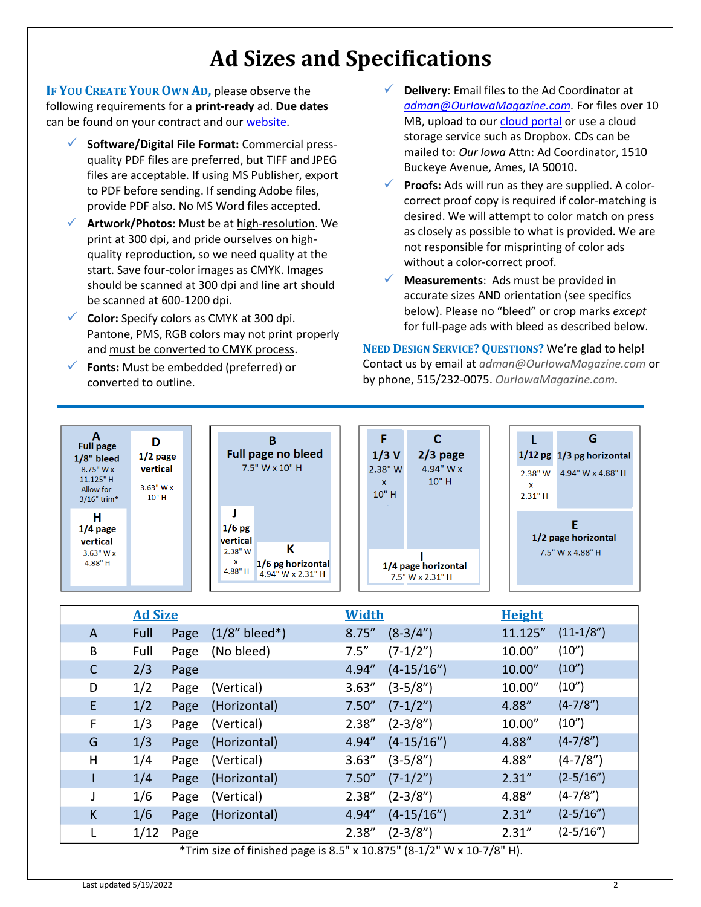## **Ad Sizes and Specifications**

**IF YOU CREATE YOUR OWN AD,** please observe the following requirements for a **print-ready** ad. **Due dates**  can be found on your contract and our [website.](http://www.ouriowamagazine.com/index.cfm?nodeID=21422)

- ✓ **Software/Digital File Format:** Commercial pressquality PDF files are preferred, but TIFF and JPEG files are acceptable. If using MS Publisher, export to PDF before sending. If sending Adobe files, provide PDF also. No MS Word files accepted.
- ✓ **Artwork/Photos:** Must be at high-resolution. We print at 300 dpi, and pride ourselves on highquality reproduction, so we need quality at the start. Save four-color images as CMYK. Images should be scanned at 300 dpi and line art should be scanned at 600-1200 dpi.
- ✓ **Color:** Specify colors as CMYK at 300 dpi. Pantone, PMS, RGB colors may not print properly and must be converted to CMYK process.
- ✓ **Fonts:** Must be embedded (preferred) or converted to outline.
- Delivery: Email files to the Ad Coordinator at *[adman@OurIowaMagazine.com.](mailto:adman@OurIowaMagazine.com)* For files over 10 MB, upload to our cloud [portal](https://www.dropbox.com/request/exHOW55DNB70HUvm0R1k) or use a cloud storage service such as Dropbox. CDs can be mailed to: *Our Iowa* Attn: Ad Coordinator, 1510 Buckeye Avenue, Ames, IA 50010.
- ✓ **Proofs:** Ads will run as they are supplied. A colorcorrect proof copy is required if color-matching is desired. We will attempt to color match on press as closely as possible to what is provided. We are not responsible for misprinting of color ads without a color-correct proof.
- ✓ **Measurements**: Ads must be provided in accurate sizes AND orientation (see specifics below). Please no "bleed" or crop marks *except* for full-page ads with bleed as described below.

**NEED DESIGN SERVICE? QUESTIONS?** We're glad to help! Contact us by email at *adman@OurIowaMagazine.com* or by phone, 515/232-0075. *[OurIowaMagazine.com.](http://www.ouriowamagazine.com/index.cfm?nodeID=21422)*

| A<br><b>Full page</b><br>$1/8"$ bleed<br>$8.75"$ W x<br>$11.125"$ H<br>Allow for<br>3/16" trim* | D<br>$1/2$ page<br>vertical<br>$3.63''$ W x<br>$10"$ H |                                                     | В<br>Full page no bleed<br>7.5" W x 10" H   | $1/3$ V<br>2.38" W<br>$\mathsf{x}$<br>10" H | $2/3$ page<br>4.94" W $x$<br>$10"$ H    | $2.38"$ W<br>x<br>2.31"H | G<br>$1/12$ pg $1/3$ pg horizontal<br>4.94" W x 4.88" H |
|-------------------------------------------------------------------------------------------------|--------------------------------------------------------|-----------------------------------------------------|---------------------------------------------|---------------------------------------------|-----------------------------------------|--------------------------|---------------------------------------------------------|
| н<br>$1/4$ page<br>vertical<br>$3.63"$ W x<br>$4.88"$ H                                         |                                                        | $1/6$ pg<br>vertical<br>$2.38"$ W<br>x<br>$4.88"$ H | K<br>1/6 pg horizontal<br>4.94" W x 2.31" H |                                             | 1/4 page horizontal<br>7.5" W x 2.31" H |                          | 1/2 page horizontal<br>7.5" W x 4.88" H                 |

|              | <b>Ad Size</b> |      |                                                                                     | Width  |              | <b>Height</b> |             |
|--------------|----------------|------|-------------------------------------------------------------------------------------|--------|--------------|---------------|-------------|
| A            | Full           | Page | $(1/8"$ bleed*)                                                                     | 8.75'' | $(8-3/4")$   | 11.125"       | $(11-1/8")$ |
| B            | Full           | Page | (No bleed)                                                                          | 7.5''  | $(7-1/2")$   | 10.00"        | (10")       |
| $\mathsf{C}$ | 2/3            | Page |                                                                                     | 4.94"  | $(4-15/16")$ | 10.00"        | (10")       |
| D            | 1/2            | Page | (Vertical)                                                                          | 3.63'' | (3-5/8")     | 10.00"        | (10")       |
| E            | 1/2            | Page | (Horizontal)                                                                        | 7.50'' | $(7-1/2")$   | 4.88"         | $(4-7/8")$  |
| F            | 1/3            | Page | (Vertical)                                                                          | 2.38'' | $(2-3/8")$   | 10.00"        | (10")       |
| G            | 1/3            | Page | (Horizontal)                                                                        | 4.94"  | $(4-15/16")$ | 4.88"         | $(4-7/8")$  |
| H            | 1/4            | Page | (Vertical)                                                                          | 3.63'' | $(3-5/8")$   | 4.88"         | $(4-7/8")$  |
|              | 1/4            | Page | (Horizontal)                                                                        | 7.50'' | $(7-1/2")$   | 2.31''        | $(2-5/16")$ |
| J            | 1/6            | Page | (Vertical)                                                                          | 2.38'' | $(2-3/8")$   | 4.88"         | $(4-7/8")$  |
| K            | 1/6            | Page | (Horizontal)                                                                        | 4.94"  | $(4-15/16")$ | 2.31''        | $(2-5/16")$ |
| L            | 1/12           | Page |                                                                                     | 2.38'' | $(2-3/8")$   | 2.31''        | $(2-5/16")$ |
|              |                |      | *Trim size of finished page is 8 $5" \times 10.875"$ (8.1/2" W $\times 10.7$ /8" H) |        |              |               |             |

e of finished page is 8.5" x 10.875" (8-1/2" W x 10-7/8"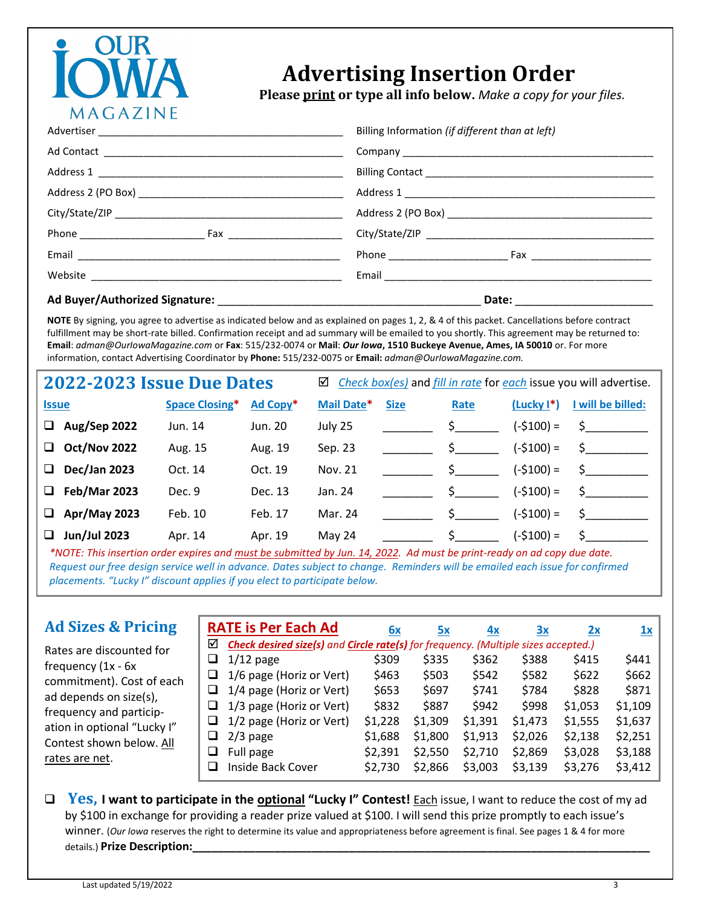# MAGAZINE

## **Advertising Insertion Order**

 **Please print or type all info below.** *Make a copy for your files.*

| Billing Information (if different than at left) |  |  |
|-------------------------------------------------|--|--|
|                                                 |  |  |
|                                                 |  |  |
|                                                 |  |  |
|                                                 |  |  |
|                                                 |  |  |
| Phone <b>Fax</b>                                |  |  |
|                                                 |  |  |
| Date: _________________                         |  |  |

**NOTE** By signing, you agree to advertise as indicated below and as explained on pages 1, 2, & 4 of this packet. Cancellations before contract fulfillment may be short-rate billed. Confirmation receipt and ad summary will be emailed to you shortly. This agreement may be returned to: **Email**: *adman@OurIowaMagazine.com* or **Fax**: 515/232-0074 or **Mail**: *Our Iowa***, 1510 Buckeye Avenue, Ames, IA 50010** or. For more information, contact Advertising Coordinator by **Phone:** 515/232-0075 or **Email:** *adman@OurIowaMagazine.com.*

| 2022-2023 Issue Due Dates |                     |                       |          | Check box(es) and fill in rate for each issue you will advertise.<br>☑ |             |                   |              |                               |  |
|---------------------------|---------------------|-----------------------|----------|------------------------------------------------------------------------|-------------|-------------------|--------------|-------------------------------|--|
| <b>Issue</b>              |                     | <b>Space Closing*</b> | Ad Copy* | Mail Date*                                                             | <b>Size</b> | Rate              | $(Lucky I*)$ | I will be billed:             |  |
| $\Box$                    | <b>Aug/Sep 2022</b> | Jun. 14               | Jun. 20  | July 25                                                                |             | $S \qquad \qquad$ | $(-$100) =$  | S.                            |  |
| □                         | <b>Oct/Nov 2022</b> | Aug. 15               | Aug. 19  | Sep. 23                                                                |             | $S \qquad \qquad$ | $(-$100) =$  | S.                            |  |
| □                         | <b>Dec/Jan 2023</b> | Oct. 14               | Oct. 19  | Nov. 21                                                                |             |                   | $(-$100) =$  | $\mathsf{S}$ and $\mathsf{S}$ |  |
| $\Box$                    | <b>Feb/Mar 2023</b> | Dec. 9                | Dec. 13  | Jan. 24                                                                |             | $\mathsf{S}$ .    | $(-$100) =$  | $\mathsf{S}$ and $\mathsf{S}$ |  |
| □                         | Apr/May 2023        | Feb. 10               | Feb. 17  | Mar. 24                                                                |             | $\mathsf{S}$ .    | (-\$100) =   | S.                            |  |
| ❏                         | <b>Jun/Jul 2023</b> | Apr. 14               | Apr. 19  | May 24                                                                 |             |                   | $(-$100) =$  | S.                            |  |

*\*NOTE: This insertion order expires and must be submitted by Jun. 14, 2022. Ad must be print-ready on ad copy due date. Request our free design service well in advance. Dates subject to change. Reminders will be emailed each issue for confirmed placements. "Lucky I" discount applies if you elect to participate below.* 

### **Ad Sizes & Pricing**

Rates are discounted for

commitment). Cost of each ad depends on size(s), frequency and participation in optional "Lucky I" Contest shown below. All

frequency (1x - 6x

rates are net.

|    | <b>RATE is Per Each Ad</b>                                                         | 6x      | 5x      | 4x      | 3x      | 2x      | 1x      |
|----|------------------------------------------------------------------------------------|---------|---------|---------|---------|---------|---------|
| ☑  | Check desired size(s) and Circle rate(s) for frequency. (Multiple sizes accepted.) |         |         |         |         |         |         |
|    | $\Box$ 1/12 page                                                                   | \$309   | \$335   | \$362   | \$388   | \$415   | \$441   |
| ⊔  | 1/6 page (Horiz or Vert)                                                           | \$463   | \$503   | \$542   | \$582   | \$622   | \$662   |
|    | $\Box$ 1/4 page (Horiz or Vert)                                                    | \$653   | \$697   | \$741   | \$784   | \$828   | \$871   |
|    | $\Box$ 1/3 page (Horiz or Vert)                                                    | \$832   | \$887   | \$942   | \$998   | \$1,053 | \$1,109 |
|    | $\Box$ 1/2 page (Horiz or Vert)                                                    | \$1,228 | \$1,309 | \$1,391 | \$1,473 | \$1,555 | \$1,637 |
| u. | $2/3$ page                                                                         | \$1,688 | \$1,800 | \$1,913 | \$2,026 | \$2,138 | \$2,251 |
| ⊔  | Full page                                                                          | \$2,391 | \$2,550 | \$2,710 | \$2,869 | \$3,028 | \$3,188 |
|    | Inside Back Cover                                                                  | \$2,730 | \$2,866 | \$3,003 | \$3,139 | \$3,276 | \$3,412 |

❑ **Yes, I want to participate in the optional "Lucky I" Contest!** Each issue, I want to reduce the cost of my ad by \$100 in exchange for providing a reader prize valued at \$100. I will send this prize promptly to each issue's winner. (*Our Iowa* reserves the right to determine its value and appropriateness before agreement is final. See pages 1 & 4 for more details.) Prize Description:

 $\ddot{\phantom{a}}$